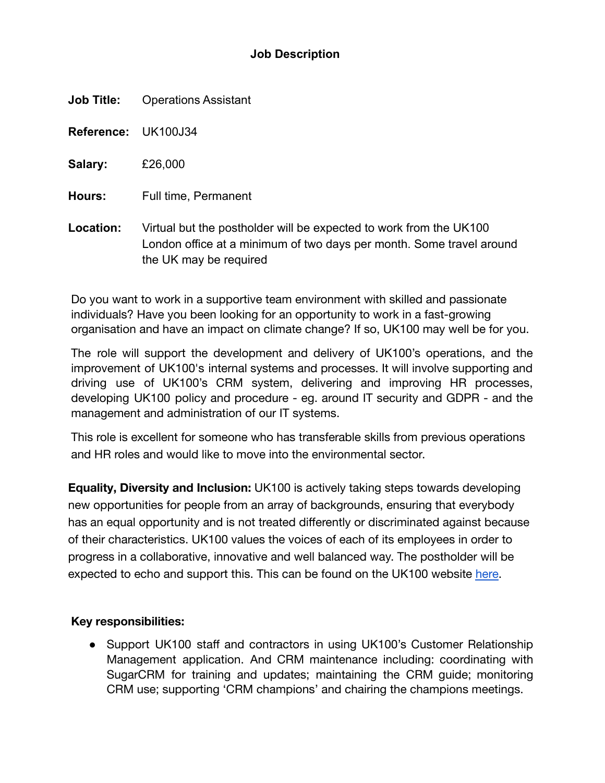# **Job Description**

**Job Title:** Operations Assistant

**Reference:** UK100J34

**Salary:** £26,000

**Hours:** Full time, Permanent

**Location:** Virtual but the postholder will be expected to work from the UK100 London office at a minimum of two days per month. Some travel around the UK may be required

Do you want to work in a supportive team environment with skilled and passionate individuals? Have you been looking for an opportunity to work in a fast-growing organisation and have an impact on climate change? If so, UK100 may well be for you.

The role will support the development and delivery of UK100's operations, and the improvement of UK100's internal systems and processes. It will involve supporting and driving use of UK100's CRM system, delivering and improving HR processes, developing UK100 policy and procedure - eg. around IT security and GDPR - and the management and administration of our IT systems.

This role is excellent for someone who has transferable skills from previous operations and HR roles and would like to move into the environmental sector.

**Equality, Diversity and Inclusion:** UK100 is actively taking steps towards developing new opportunities for people from an array of backgrounds, ensuring that everybody has an equal opportunity and is not treated differently or discriminated against because of their characteristics. UK100 values the voices of each of its employees in order to progress in a collaborative, innovative and well balanced way. The postholder will be expected to echo and support this. This can be found on the UK100 website [here.](https://www.uk100.org/diversity-and-inclusion-policy)

# **Key responsibilities:**

• Support UK100 staff and contractors in using UK100's Customer Relationship Management application. And CRM maintenance including: coordinating with SugarCRM for training and updates; maintaining the CRM guide; monitoring CRM use; supporting 'CRM champions' and chairing the champions meetings.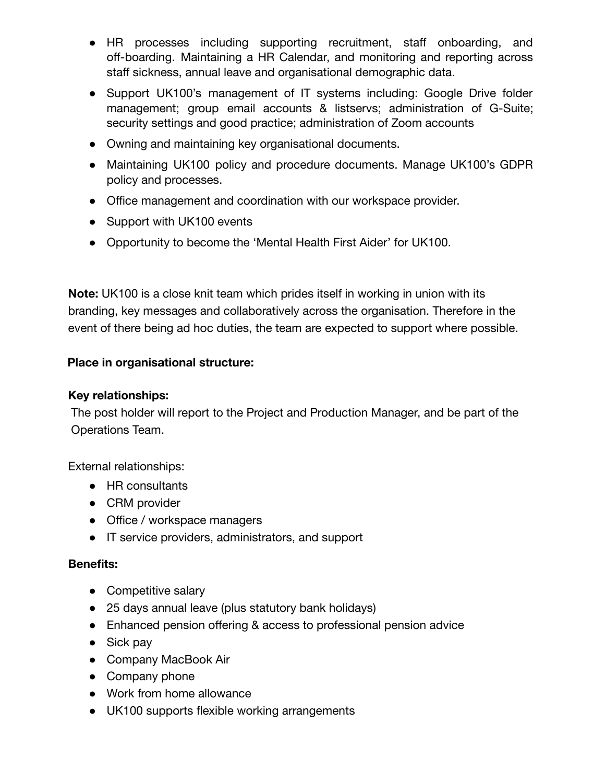- HR processes including supporting recruitment, staff onboarding, and off-boarding. Maintaining a HR Calendar, and monitoring and reporting across staff sickness, annual leave and organisational demographic data.
- Support UK100's management of IT systems including: Google Drive folder management; group email accounts & listservs; administration of G-Suite; security settings and good practice; administration of Zoom accounts
- Owning and maintaining key organisational documents.
- Maintaining UK100 policy and procedure documents. Manage UK100's GDPR policy and processes.
- Office management and coordination with our workspace provider.
- Support with UK100 events
- Opportunity to become the 'Mental Health First Aider' for UK100.

**Note:** UK100 is a close knit team which prides itself in working in union with its branding, key messages and collaboratively across the organisation. Therefore in the event of there being ad hoc duties, the team are expected to support where possible.

# **Place in organisational structure:**

### **Key relationships:**

The post holder will report to the Project and Production Manager, and be part of the Operations Team.

External relationships:

- HR consultants
- CRM provider
- Office / workspace managers
- IT service providers, administrators, and support

#### **Benefits:**

- Competitive salary
- 25 days annual leave (plus statutory bank holidays)
- Enhanced pension offering & access to professional pension advice
- Sick pay
- Company MacBook Air
- Company phone
- Work from home allowance
- UK100 supports flexible working arrangements